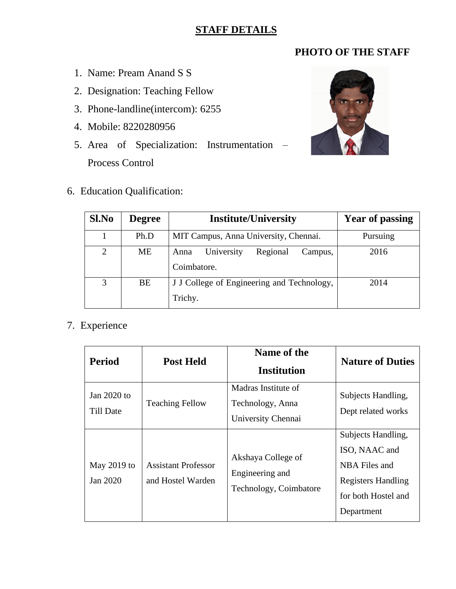## **STAFF DETAILS**

## **PHOTO OF THE STAFF**

- 1. Name: Pream Anand S S
- 2. Designation: Teaching Fellow
- 3. Phone-landline(intercom): 6255
- 4. Mobile: 8220280956
- 5. Area of Specialization: Instrumentation Process Control
- 6. Education Qualification:



| Sl.No          | <b>Degree</b> | <b>Institute/University</b>                              | <b>Year of passing</b> |
|----------------|---------------|----------------------------------------------------------|------------------------|
|                | Ph.D          | MIT Campus, Anna University, Chennai.                    | Pursuing               |
| $\overline{2}$ | ME            | Regional<br>University<br>Campus,<br>Anna<br>Coimbatore. | 2016                   |
| 3              | BE            | J J College of Engineering and Technology,<br>Trichy.    | 2014                   |

## 7. Experience

| <b>Period</b>                     | <b>Post Held</b>                                | Name of the<br><b>Institution</b>                               | <b>Nature of Duties</b>                                                                                                |
|-----------------------------------|-------------------------------------------------|-----------------------------------------------------------------|------------------------------------------------------------------------------------------------------------------------|
| Jan $2020$ to<br><b>Till Date</b> | <b>Teaching Fellow</b>                          | Madras Institute of<br>Technology, Anna<br>University Chennai   | Subjects Handling,<br>Dept related works                                                                               |
| May 2019 to<br>Jan 2020           | <b>Assistant Professor</b><br>and Hostel Warden | Akshaya College of<br>Engineering and<br>Technology, Coimbatore | Subjects Handling,<br>ISO, NAAC and<br>NBA Files and<br><b>Registers Handling</b><br>for both Hostel and<br>Department |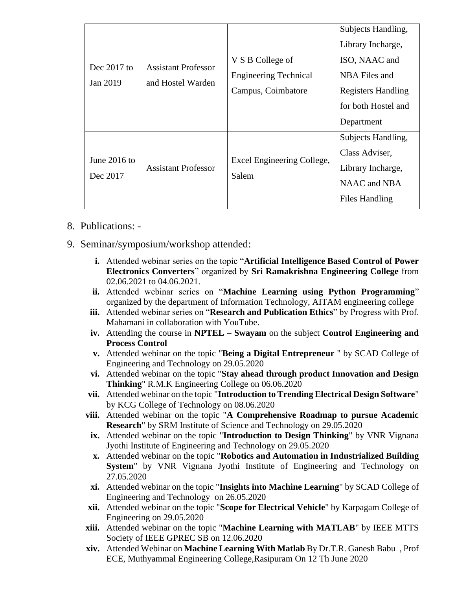|                |                                                 |                                     | Subjects Handling,        |
|----------------|-------------------------------------------------|-------------------------------------|---------------------------|
|                | <b>Assistant Professor</b><br>and Hostel Warden |                                     | Library Incharge,         |
|                |                                                 | V S B College of                    | ISO, NAAC and             |
| Dec $2017$ to  |                                                 | <b>Engineering Technical</b>        | NBA Files and             |
| Jan 2019       |                                                 | Campus, Coimbatore                  | <b>Registers Handling</b> |
|                |                                                 |                                     | for both Hostel and       |
|                |                                                 |                                     | Department                |
|                |                                                 |                                     | Subjects Handling,        |
|                | <b>Assistant Professor</b>                      | Excel Engineering College,<br>Salem | Class Adviser,            |
| June $2016$ to |                                                 |                                     | Library Incharge,         |
| Dec 2017       |                                                 |                                     | NAAC and NBA              |
|                |                                                 |                                     | Files Handling            |

- 8. Publications: -
- 9. Seminar/symposium/workshop attended:
	- **i.** Attended webinar series on the topic "**Artificial Intelligence Based Control of Power Electronics Converters**" organized by **Sri Ramakrishna Engineering College** from 02.06.2021 to 04.06.2021.
	- **ii.** Attended webinar series on "**Machine Learning using Python Programming**" organized by the department of Information Technology, AITAM engineering college
	- **iii.** Attended webinar series on "**Research and Publication Ethics**" by Progress with Prof. Mahamani in collaboration with YouTube.
	- **iv.** Attending the course in **NPTEL – Swayam** on the subject **Control Engineering and Process Control**
	- **v.** Attended webinar on the topic "**Being a Digital Entrepreneur** " by SCAD College of Engineering and Technology on 29.05.2020
	- **vi.** Attended webinar on the topic "**Stay ahead through product Innovation and Design Thinking**" R.M.K Engineering College on 06.06.2020
	- **vii.** Attended webinar on the topic "**Introduction to Trending Electrical Design Software**" by KCG College of Technology on 08.06.2020
	- **viii.** Attended webinar on the topic "**A Comprehensive Roadmap to pursue Academic Research**" by SRM Institute of Science and Technology on 29.05.2020
		- **ix.** Attended webinar on the topic "**Introduction to Design Thinking**" by VNR Vignana Jyothi Institute of Engineering and Technology on 29.05.2020
		- **x.** Attended webinar on the topic "**Robotics and Automation in Industrialized Building System**" by VNR Vignana Jyothi Institute of Engineering and Technology on 27.05.2020
	- **xi.** Attended webinar on the topic "**Insights into Machine Learning**" by SCAD College of Engineering and Technology on 26.05.2020
	- **xii.** Attended webinar on the topic "**Scope for Electrical Vehicle**" by Karpagam College of Engineering on 29.05.2020
	- **xiii.** Attended webinar on the topic "**Machine Learning with MATLAB**" by IEEE MTTS Society of IEEE GPREC SB on 12.06.2020
	- **xiv.** Attended Webinar on **Machine Learning With Matlab** By Dr.T.R. Ganesh Babu , Prof ECE, Muthyammal Engineering College,Rasipuram On 12 Th June 2020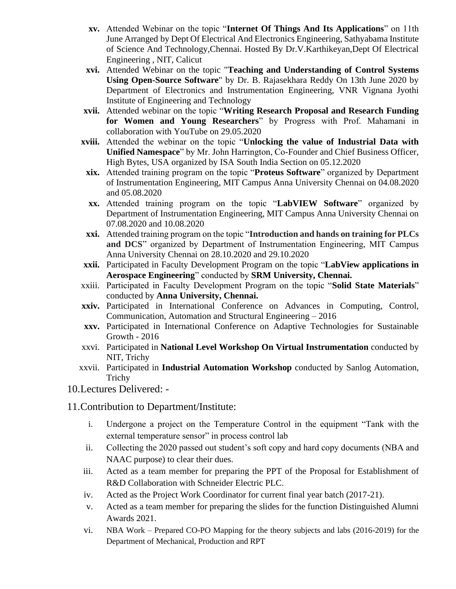- **xv.** Attended Webinar on the topic "**Internet Of Things And Its Applications**" on 11th June Arranged by Dept Of Electrical And Electronics Engineering, Sathyabama Institute of Science And Technology,Chennai. Hosted By Dr.V.Karthikeyan,Dept Of Electrical Engineering , NIT, Calicut
- **xvi.** Attended Webinar on the topic "**Teaching and Understanding of Control Systems Using Open-Source Software**" by Dr. B. Rajasekhara Reddy On 13th June 2020 by Department of Electronics and Instrumentation Engineering, VNR Vignana Jyothi Institute of Engineering and Technology
- **xvii.** Attended webinar on the topic "**Writing Research Proposal and Research Funding for Women and Young Researchers**" by Progress with Prof. Mahamani in collaboration with YouTube on 29.05.2020
- **xviii.** Attended the webinar on the topic "**Unlocking the value of Industrial Data with Unified Namespace**" by Mr. John Harrington, Co-Founder and Chief Business Officer, High Bytes, USA organized by ISA South India Section on 05.12.2020
- **xix.** Attended training program on the topic "**Proteus Software**" organized by Department of Instrumentation Engineering, MIT Campus Anna University Chennai on 04.08.2020 and 05.08.2020
- **xx.** Attended training program on the topic "**LabVIEW Software**" organized by Department of Instrumentation Engineering, MIT Campus Anna University Chennai on 07.08.2020 and 10.08.2020
- **xxi.** Attended training program on the topic "**Introduction and hands on training for PLCs and DCS**" organized by Department of Instrumentation Engineering, MIT Campus Anna University Chennai on 28.10.2020 and 29.10.2020
- **xxii.** Participated in Faculty Development Program on the topic "**LabView applications in Aerospace Engineering**" conducted by **SRM University, Chennai.**
- xxiii. Participated in Faculty Development Program on the topic "**Solid State Materials**" conducted by **Anna University, Chennai.**
- **xxiv.** Participated in International Conference on Advances in Computing, Control, Communication, Automation and Structural Engineering – 2016
- **xxv.** Participated in International Conference on Adaptive Technologies for Sustainable Growth - 2016
- xxvi. Participated in **National Level Workshop On Virtual Instrumentation** conducted by NIT, Trichy
- xxvii. Participated in **Industrial Automation Workshop** conducted by Sanlog Automation, Trichy

10.Lectures Delivered: -

11.Contribution to Department/Institute:

- i. Undergone a project on the Temperature Control in the equipment "Tank with the external temperature sensor" in process control lab
- ii. Collecting the 2020 passed out student's soft copy and hard copy documents (NBA and NAAC purpose) to clear their dues.
- iii. Acted as a team member for preparing the PPT of the Proposal for Establishment of R&D Collaboration with Schneider Electric PLC.
- iv. Acted as the Project Work Coordinator for current final year batch (2017-21).
- v. Acted as a team member for preparing the slides for the function Distinguished Alumni Awards 2021.
- vi. NBA Work Prepared CO-PO Mapping for the theory subjects and labs (2016-2019) for the Department of Mechanical, Production and RPT